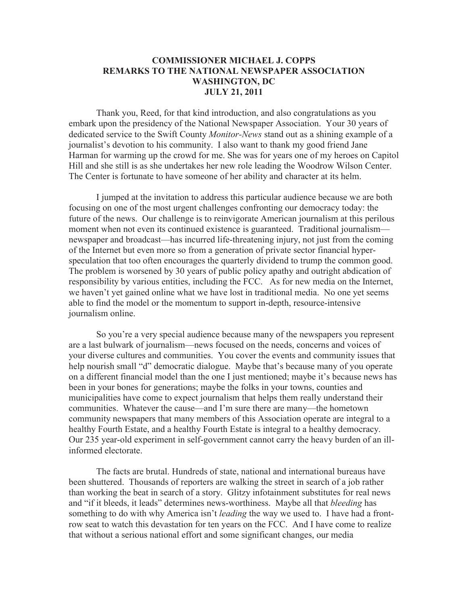## **COMMISSIONER MICHAEL J. COPPS REMARKS TO THE NATIONAL NEWSPAPER ASSOCIATION WASHINGTON, DC JULY 21, 2011**

Thank you, Reed, for that kind introduction, and also congratulations as you embark upon the presidency of the National Newspaper Association. Your 30 years of dedicated service to the Swift County *Monitor-News* stand out as a shining example of a journalist's devotion to his community. I also want to thank my good friend Jane Harman for warming up the crowd for me. She was for years one of my heroes on Capitol Hill and she still is as she undertakes her new role leading the Woodrow Wilson Center. The Center is fortunate to have someone of her ability and character at its helm.

I jumped at the invitation to address this particular audience because we are both focusing on one of the most urgent challenges confronting our democracy today: the future of the news. Our challenge is to reinvigorate American journalism at this perilous moment when not even its continued existence is guaranteed. Traditional journalism newspaper and broadcast—has incurred life-threatening injury, not just from the coming of the Internet but even more so from a generation of private sector financial hyperspeculation that too often encourages the quarterly dividend to trump the common good. The problem is worsened by 30 years of public policy apathy and outright abdication of responsibility by various entities, including the FCC. As for new media on the Internet, we haven't yet gained online what we have lost in traditional media. No one yet seems able to find the model or the momentum to support in-depth, resource-intensive journalism online.

So you're a very special audience because many of the newspapers you represent are a last bulwark of journalism—news focused on the needs, concerns and voices of your diverse cultures and communities. You cover the events and community issues that help nourish small "d" democratic dialogue. Maybe that's because many of you operate on a different financial model than the one I just mentioned; maybe it's because news has been in your bones for generations; maybe the folks in your towns, counties and municipalities have come to expect journalism that helps them really understand their communities. Whatever the cause—and I'm sure there are many—the hometown community newspapers that many members of this Association operate are integral to a healthy Fourth Estate, and a healthy Fourth Estate is integral to a healthy democracy. Our 235 year-old experiment in self-government cannot carry the heavy burden of an illinformed electorate.

The facts are brutal. Hundreds of state, national and international bureaus have been shuttered. Thousands of reporters are walking the street in search of a job rather than working the beat in search of a story. Glitzy infotainment substitutes for real news and "if it bleeds, it leads" determines news-worthiness. Maybe all that *bleeding* has something to do with why America isn't *leading* the way we used to. I have had a frontrow seat to watch this devastation for ten years on the FCC. And I have come to realize that without a serious national effort and some significant changes, our media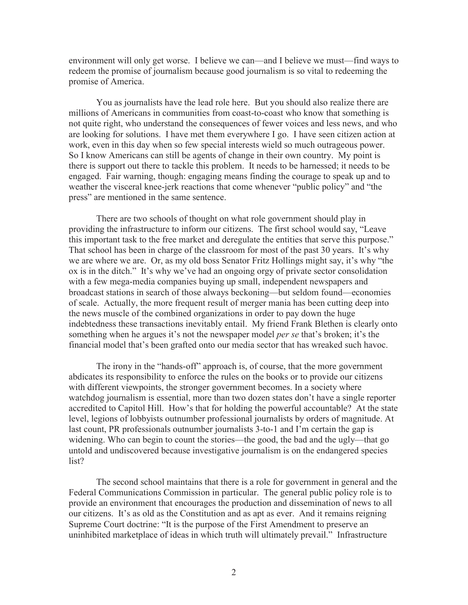environment will only get worse. I believe we can—and I believe we must—find ways to redeem the promise of journalism because good journalism is so vital to redeeming the promise of America.

You as journalists have the lead role here. But you should also realize there are millions of Americans in communities from coast-to-coast who know that something is not quite right, who understand the consequences of fewer voices and less news, and who are looking for solutions. I have met them everywhere I go. I have seen citizen action at work, even in this day when so few special interests wield so much outrageous power. So I know Americans can still be agents of change in their own country. My point is there is support out there to tackle this problem. It needs to be harnessed; it needs to be engaged. Fair warning, though: engaging means finding the courage to speak up and to weather the visceral knee-jerk reactions that come whenever "public policy" and "the press" are mentioned in the same sentence.

There are two schools of thought on what role government should play in providing the infrastructure to inform our citizens. The first school would say, "Leave this important task to the free market and deregulate the entities that serve this purpose." That school has been in charge of the classroom for most of the past 30 years. It's why we are where we are. Or, as my old boss Senator Fritz Hollings might say, it's why "the ox is in the ditch." It's why we've had an ongoing orgy of private sector consolidation with a few mega-media companies buying up small, independent newspapers and broadcast stations in search of those always beckoning—but seldom found—economies of scale. Actually, the more frequent result of merger mania has been cutting deep into the news muscle of the combined organizations in order to pay down the huge indebtedness these transactions inevitably entail. My friend Frank Blethen is clearly onto something when he argues it's not the newspaper model *per se* that's broken; it's the financial model that's been grafted onto our media sector that has wreaked such havoc.

The irony in the "hands-off" approach is, of course, that the more government abdicates its responsibility to enforce the rules on the books or to provide our citizens with different viewpoints, the stronger government becomes. In a society where watchdog journalism is essential, more than two dozen states don't have a single reporter accredited to Capitol Hill. How's that for holding the powerful accountable? At the state level, legions of lobbyists outnumber professional journalists by orders of magnitude. At last count, PR professionals outnumber journalists 3-to-1 and I'm certain the gap is widening. Who can begin to count the stories—the good, the bad and the ugly—that go untold and undiscovered because investigative journalism is on the endangered species list?

The second school maintains that there is a role for government in general and the Federal Communications Commission in particular. The general public policy role is to provide an environment that encourages the production and dissemination of news to all our citizens. It's as old as the Constitution and as apt as ever. And it remains reigning Supreme Court doctrine: "It is the purpose of the First Amendment to preserve an uninhibited marketplace of ideas in which truth will ultimately prevail." Infrastructure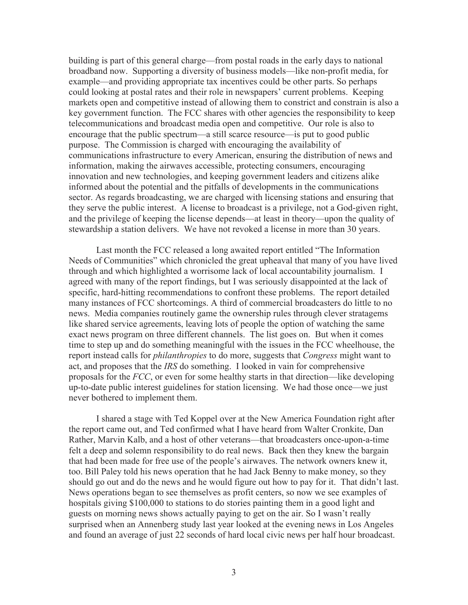building is part of this general charge—from postal roads in the early days to national broadband now. Supporting a diversity of business models—like non-profit media, for example—and providing appropriate tax incentives could be other parts. So perhaps could looking at postal rates and their role in newspapers' current problems. Keeping markets open and competitive instead of allowing them to constrict and constrain is also a key government function. The FCC shares with other agencies the responsibility to keep telecommunications and broadcast media open and competitive. Our role is also to encourage that the public spectrum—a still scarce resource—is put to good public purpose. The Commission is charged with encouraging the availability of communications infrastructure to every American, ensuring the distribution of news and information, making the airwaves accessible, protecting consumers, encouraging innovation and new technologies, and keeping government leaders and citizens alike informed about the potential and the pitfalls of developments in the communications sector. As regards broadcasting, we are charged with licensing stations and ensuring that they serve the public interest. A license to broadcast is a privilege, not a God-given right, and the privilege of keeping the license depends—at least in theory—upon the quality of stewardship a station delivers. We have not revoked a license in more than 30 years.

Last month the FCC released a long awaited report entitled "The Information Needs of Communities" which chronicled the great upheaval that many of you have lived through and which highlighted a worrisome lack of local accountability journalism. I agreed with many of the report findings, but I was seriously disappointed at the lack of specific, hard-hitting recommendations to confront these problems. The report detailed many instances of FCC shortcomings. A third of commercial broadcasters do little to no news. Media companies routinely game the ownership rules through clever stratagems like shared service agreements, leaving lots of people the option of watching the same exact news program on three different channels. The list goes on. But when it comes time to step up and do something meaningful with the issues in the FCC wheelhouse, the report instead calls for *philanthropies* to do more, suggests that *Congress* might want to act, and proposes that the *IRS* do something. I looked in vain for comprehensive proposals for the *FCC*, or even for some healthy starts in that direction—like developing up-to-date public interest guidelines for station licensing. We had those once—we just never bothered to implement them.

I shared a stage with Ted Koppel over at the New America Foundation right after the report came out, and Ted confirmed what I have heard from Walter Cronkite, Dan Rather, Marvin Kalb, and a host of other veterans—that broadcasters once-upon-a-time felt a deep and solemn responsibility to do real news. Back then they knew the bargain that had been made for free use of the people's airwaves. The network owners knew it, too. Bill Paley told his news operation that he had Jack Benny to make money, so they should go out and do the news and he would figure out how to pay for it. That didn't last. News operations began to see themselves as profit centers, so now we see examples of hospitals giving \$100,000 to stations to do stories painting them in a good light and guests on morning news shows actually paying to get on the air. So I wasn't really surprised when an Annenberg study last year looked at the evening news in Los Angeles and found an average of just 22 seconds of hard local civic news per half hour broadcast.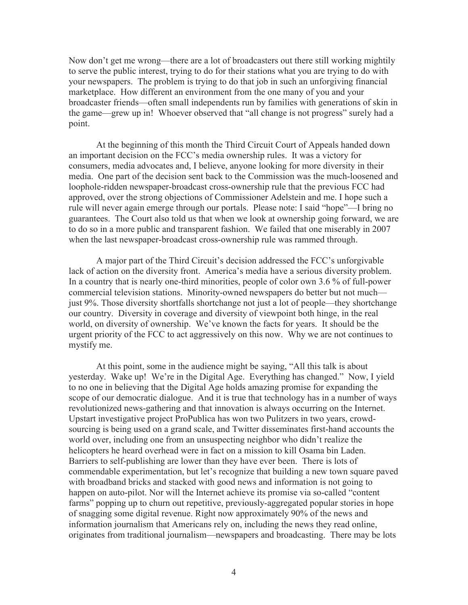Now don't get me wrong—there are a lot of broadcasters out there still working mightily to serve the public interest, trying to do for their stations what you are trying to do with your newspapers. The problem is trying to do that job in such an unforgiving financial marketplace. How different an environment from the one many of you and your broadcaster friends—often small independents run by families with generations of skin in the game—grew up in! Whoever observed that "all change is not progress" surely had a point.

At the beginning of this month the Third Circuit Court of Appeals handed down an important decision on the FCC's media ownership rules. It was a victory for consumers, media advocates and, I believe, anyone looking for more diversity in their media. One part of the decision sent back to the Commission was the much-loosened and loophole-ridden newspaper-broadcast cross-ownership rule that the previous FCC had approved, over the strong objections of Commissioner Adelstein and me. I hope such a rule will never again emerge through our portals. Please note: I said "hope"—I bring no guarantees. The Court also told us that when we look at ownership going forward, we are to do so in a more public and transparent fashion. We failed that one miserably in 2007 when the last newspaper-broadcast cross-ownership rule was rammed through.

A major part of the Third Circuit's decision addressed the FCC's unforgivable lack of action on the diversity front. America's media have a serious diversity problem. In a country that is nearly one-third minorities, people of color own 3.6 % of full-power commercial television stations. Minority-owned newspapers do better but not much just 9%. Those diversity shortfalls shortchange not just a lot of people—they shortchange our country. Diversity in coverage and diversity of viewpoint both hinge, in the real world, on diversity of ownership. We've known the facts for years. It should be the urgent priority of the FCC to act aggressively on this now. Why we are not continues to mystify me.

At this point, some in the audience might be saying, "All this talk is about yesterday. Wake up! We're in the Digital Age. Everything has changed." Now, I yield to no one in believing that the Digital Age holds amazing promise for expanding the scope of our democratic dialogue. And it is true that technology has in a number of ways revolutionized news-gathering and that innovation is always occurring on the Internet. Upstart investigative project ProPublica has won two Pulitzers in two years, crowdsourcing is being used on a grand scale, and Twitter disseminates first-hand accounts the world over, including one from an unsuspecting neighbor who didn't realize the helicopters he heard overhead were in fact on a mission to kill Osama bin Laden. Barriers to self-publishing are lower than they have ever been. There is lots of commendable experimentation, but let's recognize that building a new town square paved with broadband bricks and stacked with good news and information is not going to happen on auto-pilot. Nor will the Internet achieve its promise via so-called "content farms" popping up to churn out repetitive, previously-aggregated popular stories in hope of snagging some digital revenue. Right now approximately 90% of the news and information journalism that Americans rely on, including the news they read online, originates from traditional journalism—newspapers and broadcasting. There may be lots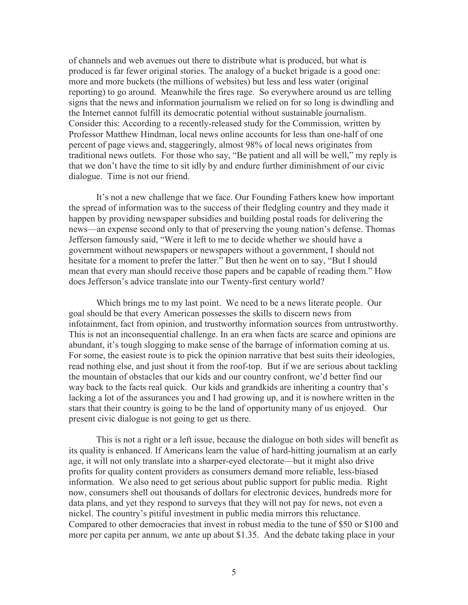of channels and web avenues out there to distribute what is produced, but what is produced is far fewer original stories. The analogy of a bucket brigade is a good one: more and more buckets (the millions of websites) but less and less water (original reporting) to go around. Meanwhile the fires rage. So everywhere around us are telling signs that the news and information journalism we relied on for so long is dwindling and the Internet cannot fulfill its democratic potential without sustainable journalism. Consider this: According to a recently-released study for the Commission, written by Professor Matthew Hindman, local news online accounts for less than one-half of one percent of page views and, staggeringly, almost 98% of local news originates from traditional news outlets. For those who say, "Be patient and all will be well," my reply is that we don't have the time to sit idly by and endure further diminishment of our civic dialogue. Time is not our friend.

It's not a new challenge that we face. Our Founding Fathers knew how important the spread of information was to the success of their fledgling country and they made it happen by providing newspaper subsidies and building postal roads for delivering the news—an expense second only to that of preserving the young nation's defense. Thomas Jefferson famously said, "Were it left to me to decide whether we should have a government without newspapers or newspapers without a government, I should not hesitate for a moment to prefer the latter." But then he went on to say, "But I should mean that every man should receive those papers and be capable of reading them." How does Jefferson's advice translate into our Twenty-first century world?

Which brings me to my last point. We need to be a news literate people. Our goal should be that every American possesses the skills to discern news from infotainment, fact from opinion, and trustworthy information sources from untrustworthy. This is not an inconsequential challenge. In an era when facts are scarce and opinions are abundant, it's tough slogging to make sense of the barrage of information coming at us. For some, the easiest route is to pick the opinion narrative that best suits their ideologies, read nothing else, and just shout it from the roof-top. But if we are serious about tackling the mountain of obstacles that our kids and our country confront, we'd better find our way back to the facts real quick. Our kids and grandkids are inheriting a country that's lacking a lot of the assurances you and I had growing up, and it is nowhere written in the stars that their country is going to be the land of opportunity many of us enjoyed. Our present civic dialogue is not going to get us there.

This is not a right or a left issue, because the dialogue on both sides will benefit as its quality is enhanced. If Americans learn the value of hard-hitting journalism at an early age, it will not only translate into a sharper-eyed electorate—but it might also drive profits for quality content providers as consumers demand more reliable, less-biased information. We also need to get serious about public support for public media. Right now, consumers shell out thousands of dollars for electronic devices, hundreds more for data plans, and yet they respond to surveys that they will not pay for news, not even a nickel. The country's pitiful investment in public media mirrors this reluctance. Compared to other democracies that invest in robust media to the tune of \$50 or \$100 and more per capita per annum, we ante up about \$1.35. And the debate taking place in your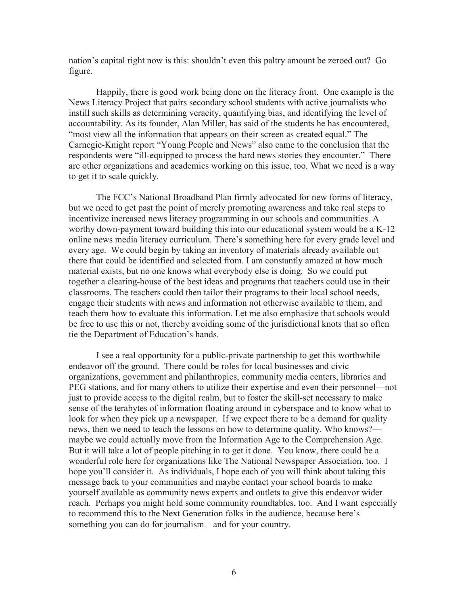nation's capital right now is this: shouldn't even this paltry amount be zeroed out? Go figure.

Happily, there is good work being done on the literacy front. One example is the News Literacy Project that pairs secondary school students with active journalists who instill such skills as determining veracity, quantifying bias, and identifying the level of accountability. As its founder, Alan Miller, has said of the students he has encountered, "most view all the information that appears on their screen as created equal." The Carnegie-Knight report "Young People and News" also came to the conclusion that the respondents were "ill-equipped to process the hard news stories they encounter." There are other organizations and academics working on this issue, too. What we need is a way to get it to scale quickly.

The FCC's National Broadband Plan firmly advocated for new forms of literacy, but we need to get past the point of merely promoting awareness and take real steps to incentivize increased news literacy programming in our schools and communities. A worthy down-payment toward building this into our educational system would be a K-12 online news media literacy curriculum. There's something here for every grade level and every age. We could begin by taking an inventory of materials already available out there that could be identified and selected from. I am constantly amazed at how much material exists, but no one knows what everybody else is doing. So we could put together a clearing-house of the best ideas and programs that teachers could use in their classrooms. The teachers could then tailor their programs to their local school needs, engage their students with news and information not otherwise available to them, and teach them how to evaluate this information. Let me also emphasize that schools would be free to use this or not, thereby avoiding some of the jurisdictional knots that so often tie the Department of Education's hands.

I see a real opportunity for a public-private partnership to get this worthwhile endeavor off the ground. There could be roles for local businesses and civic organizations, government and philanthropies, community media centers, libraries and PEG stations, and for many others to utilize their expertise and even their personnel—not just to provide access to the digital realm, but to foster the skill-set necessary to make sense of the terabytes of information floating around in cyberspace and to know what to look for when they pick up a newspaper. If we expect there to be a demand for quality news, then we need to teach the lessons on how to determine quality. Who knows? maybe we could actually move from the Information Age to the Comprehension Age. But it will take a lot of people pitching in to get it done. You know, there could be a wonderful role here for organizations like The National Newspaper Association, too. I hope you'll consider it. As individuals, I hope each of you will think about taking this message back to your communities and maybe contact your school boards to make yourself available as community news experts and outlets to give this endeavor wider reach. Perhaps you might hold some community roundtables, too. And I want especially to recommend this to the Next Generation folks in the audience, because here's something you can do for journalism—and for your country.